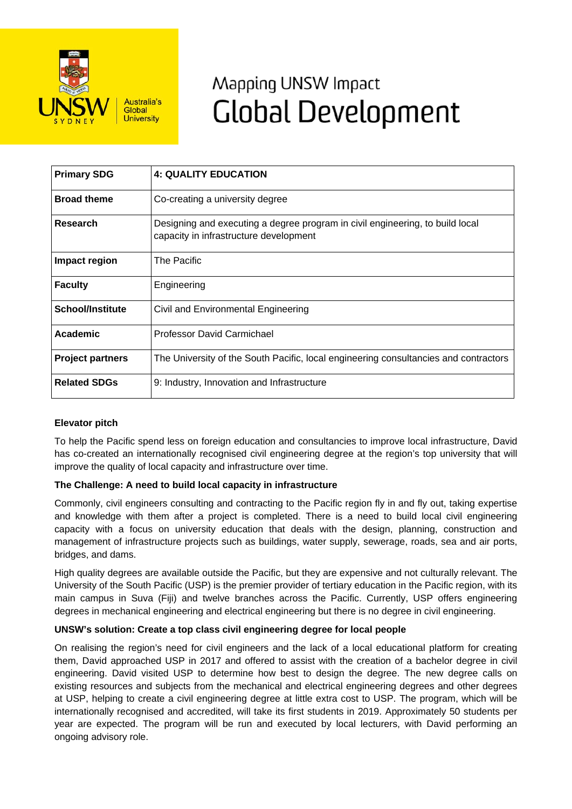

# Mapping UNSW Impact **Global Development**

| <b>Primary SDG</b>      | <b>4: QUALITY EDUCATION</b>                                                                                             |
|-------------------------|-------------------------------------------------------------------------------------------------------------------------|
| <b>Broad theme</b>      | Co-creating a university degree                                                                                         |
| <b>Research</b>         | Designing and executing a degree program in civil engineering, to build local<br>capacity in infrastructure development |
| Impact region           | The Pacific                                                                                                             |
| <b>Faculty</b>          | Engineering                                                                                                             |
| <b>School/Institute</b> | Civil and Environmental Engineering                                                                                     |
| Academic                | Professor David Carmichael                                                                                              |
| <b>Project partners</b> | The University of the South Pacific, local engineering consultancies and contractors                                    |
| <b>Related SDGs</b>     | 9: Industry, Innovation and Infrastructure                                                                              |

## **Elevator pitch**

To help the Pacific spend less on foreign education and consultancies to improve local infrastructure, David has co-created an internationally recognised civil engineering degree at the region's top university that will improve the quality of local capacity and infrastructure over time.

## **The Challenge: A need to build local capacity in infrastructure**

Commonly, civil engineers consulting and contracting to the Pacific region fly in and fly out, taking expertise and knowledge with them after a project is completed. There is a need to build local civil engineering capacity with a focus on university education that deals with the design, planning, construction and management of infrastructure projects such as buildings, water supply, sewerage, roads, sea and air ports, bridges, and dams.

High quality degrees are available outside the Pacific, but they are expensive and not culturally relevant. The University of the South Pacific (USP) is the premier provider of tertiary education in the Pacific region, with its main campus in Suva (Fiji) and twelve branches across the Pacific. Currently, USP offers engineering degrees in mechanical engineering and electrical engineering but there is no degree in civil engineering.

#### **UNSW's solution: Create a top class civil engineering degree for local people**

On realising the region's need for civil engineers and the lack of a local educational platform for creating them, David approached USP in 2017 and offered to assist with the creation of a bachelor degree in civil engineering. David visited USP to determine how best to design the degree. The new degree calls on existing resources and subjects from the mechanical and electrical engineering degrees and other degrees at USP, helping to create a civil engineering degree at little extra cost to USP. The program, which will be internationally recognised and accredited, will take its first students in 2019. Approximately 50 students per year are expected. The program will be run and executed by local lecturers, with David performing an ongoing advisory role.